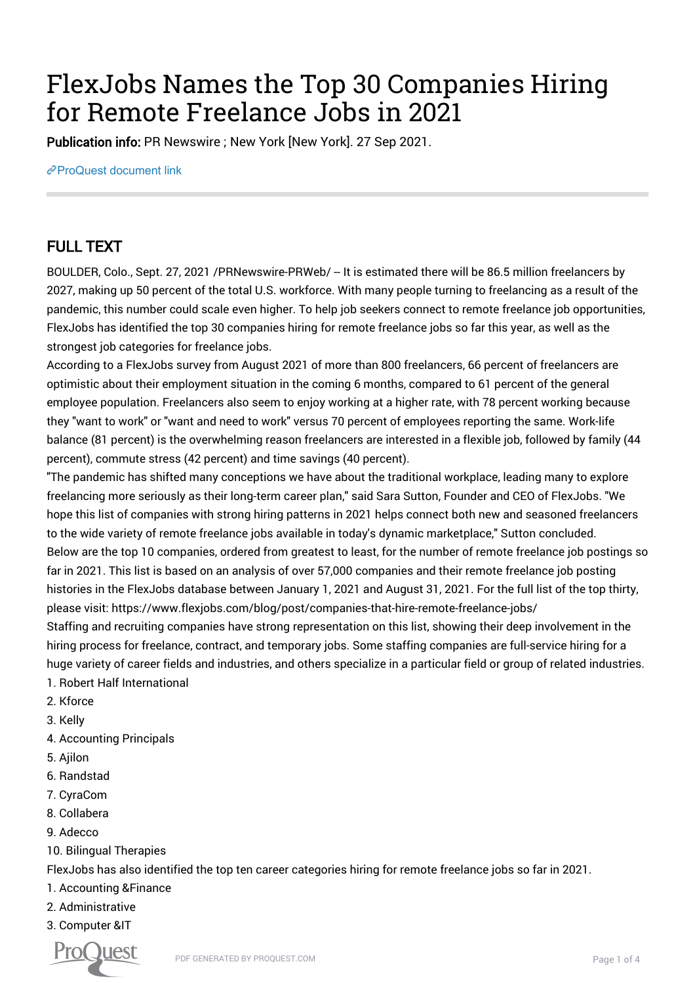# FlexJobs Names the Top 30 Companies Hiring for Remote Freelance Jobs in 2021

Publication info: PR Newswire ; New York [New York]. 27 Sep 2021.

[ProQuest document link](https://www.proquest.com/wire-feeds/flexjobs-names-top-30-companies-hiring-remote/docview/2576616306/se-2?accountid=44910)

## FULL TEXT

BOULDER, Colo., Sept. 27, 2021 /PRNewswire-PRWeb/ -- It is estimated there will be 86.5 million freelancers by 2027, making up 50 percent of the total U.S. workforce. With many people turning to freelancing as a result of the pandemic, this number could scale even higher. To help job seekers connect to remote freelance job opportunities, FlexJobs has identified the top 30 companies hiring for remote freelance jobs so far this year, as well as the strongest job categories for freelance jobs.

According to a FlexJobs survey from August 2021 of more than 800 freelancers, 66 percent of freelancers are optimistic about their employment situation in the coming 6 months, compared to 61 percent of the general employee population. Freelancers also seem to enjoy working at a higher rate, with 78 percent working because they "want to work" or "want and need to work" versus 70 percent of employees reporting the same. Work-life balance (81 percent) is the overwhelming reason freelancers are interested in a flexible job, followed by family (44 percent), commute stress (42 percent) and time savings (40 percent).

"The pandemic has shifted many conceptions we have about the traditional workplace, leading many to explore freelancing more seriously as their long-term career plan," said Sara Sutton, Founder and CEO of FlexJobs. "We hope this list of companies with strong hiring patterns in 2021 helps connect both new and seasoned freelancers to the wide variety of remote freelance jobs available in today's dynamic marketplace," Sutton concluded. Below are the top 10 companies, ordered from greatest to least, for the number of remote freelance job postings so far in 2021. This list is based on an analysis of over 57,000 companies and their remote freelance job posting histories in the FlexJobs database between January 1, 2021 and August 31, 2021. For the full list of the top thirty, please visit: https://www.flexjobs.com/blog/post/companies-that-hire-remote-freelance-jobs/ Staffing and recruiting companies have strong representation on this list, showing their deep involvement in the hiring process for freelance, contract, and temporary jobs. Some staffing companies are full-service hiring for a huge variety of career fields and industries, and others specialize in a particular field or group of related industries.

- 1. Robert Half International
- 2. Kforce
- 3. Kelly
- 4. Accounting Principals
- 5. Ajilon
- 6. Randstad
- 7. CyraCom
- 8. Collabera
- 9. Adecco
- 10. Bilingual Therapies

FlexJobs has also identified the top ten career categories hiring for remote freelance jobs so far in 2021.

- 1. Accounting &Finance
- 2. Administrative
- 3. Computer &IT

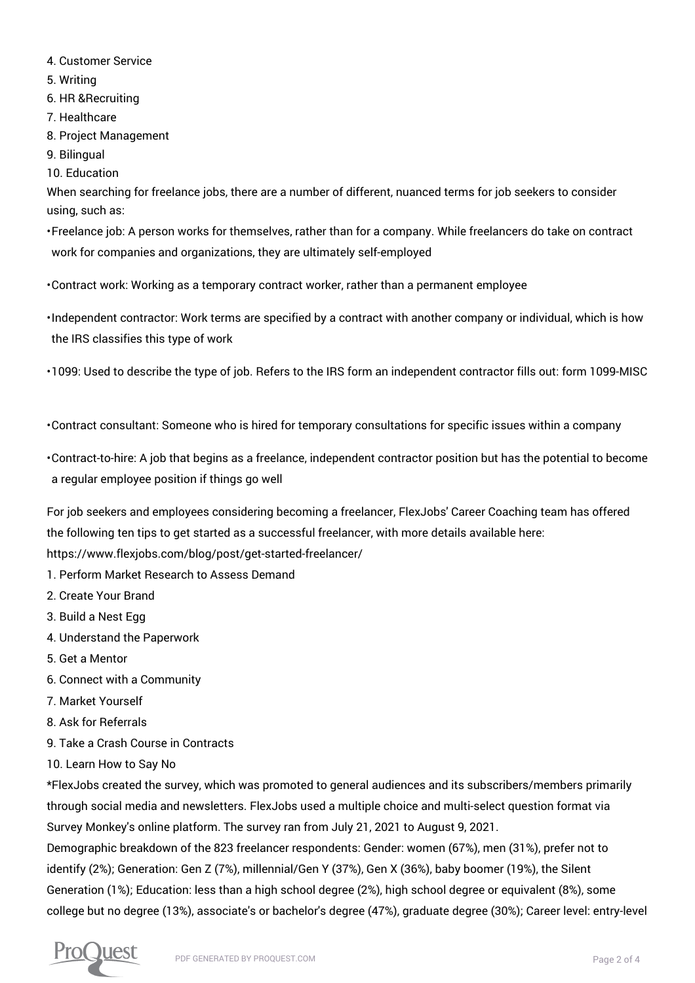- 4. Customer Service
- 5. Writing
- 6. HR &Recruiting
- 7. Healthcare
- 8. Project Management
- 9. Bilingual
- 10. Education

When searching for freelance jobs, there are a number of different, nuanced terms for job seekers to consider using, such as:

• Freelance job: A person works for themselves, rather than for a company. While freelancers do take on contract work for companies and organizations, they are ultimately self-employed

• Contract work: Working as a temporary contract worker, rather than a permanent employee

• Independent contractor: Work terms are specified by a contract with another company or individual, which is how the IRS classifies this type of work

• 1099: Used to describe the type of job. Refers to the IRS form an independent contractor fills out: form 1099-MISC

• Contract consultant: Someone who is hired for temporary consultations for specific issues within a company

• Contract-to-hire: A job that begins as a freelance, independent contractor position but has the potential to become a regular employee position if things go well

For job seekers and employees considering becoming a freelancer, FlexJobs' Career Coaching team has offered the following ten tips to get started as a successful freelancer, with more details available here: https://www.flexjobs.com/blog/post/get-started-freelancer/

- 1. Perform Market Research to Assess Demand
- 2. Create Your Brand
- 3. Build a Nest Egg
- 4. Understand the Paperwork
- 5. Get a Mentor
- 6. Connect with a Community
- 7. Market Yourself
- 8. Ask for Referrals
- 9. Take a Crash Course in Contracts
- 10. Learn How to Say No

\*FlexJobs created the survey, which was promoted to general audiences and its subscribers/members primarily through social media and newsletters. FlexJobs used a multiple choice and multi-select question format via Survey Monkey's online platform. The survey ran from July 21, 2021 to August 9, 2021.

Demographic breakdown of the 823 freelancer respondents: Gender: women (67%), men (31%), prefer not to identify (2%); Generation: Gen Z (7%), millennial/Gen Y (37%), Gen X (36%), baby boomer (19%), the Silent Generation (1%); Education: less than a high school degree (2%), high school degree or equivalent (8%), some college but no degree (13%), associate's or bachelor's degree (47%), graduate degree (30%); Career level: entry-level

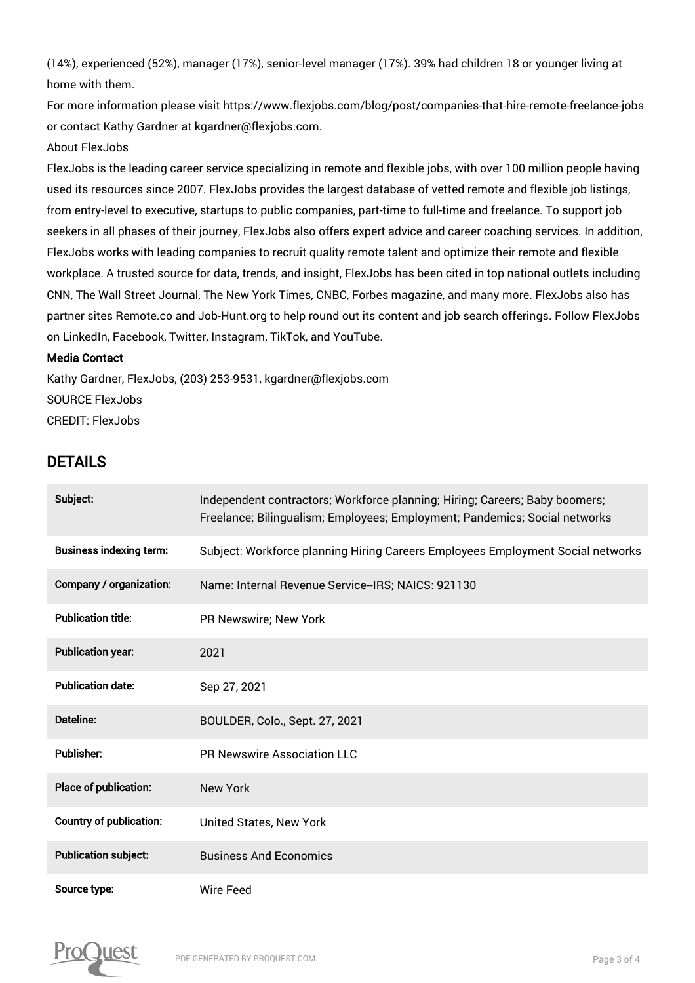(14%), experienced (52%), manager (17%), senior-level manager (17%). 39% had children 18 or younger living at home with them.

For more information please visit https://www.flexjobs.com/blog/post/companies-that-hire-remote-freelance-jobs or contact Kathy Gardner at kgardner@flexjobs.com.

#### About FlexJobs

FlexJobs is the leading career service specializing in remote and flexible jobs, with over 100 million people having used its resources since 2007. FlexJobs provides the largest database of vetted remote and flexible job listings, from entry-level to executive, startups to public companies, part-time to full-time and freelance. To support job seekers in all phases of their journey, FlexJobs also offers expert advice and career coaching services. In addition, FlexJobs works with leading companies to recruit quality remote talent and optimize their remote and flexible workplace. A trusted source for data, trends, and insight, FlexJobs has been cited in top national outlets including CNN, The Wall Street Journal, The New York Times, CNBC, Forbes magazine, and many more. FlexJobs also has partner sites Remote.co and Job-Hunt.org to help round out its content and job search offerings. Follow FlexJobs on LinkedIn, Facebook, Twitter, Instagram, TikTok, and YouTube.

#### Media Contact

Kathy Gardner, FlexJobs, (203) 253-9531, kgardner@flexjobs.com SOURCE FlexJobs CREDIT: FlexJobs

### DETAILS

| Subject:                       | Independent contractors; Workforce planning; Hiring; Careers; Baby boomers;<br>Freelance; Bilingualism; Employees; Employment; Pandemics; Social networks |
|--------------------------------|-----------------------------------------------------------------------------------------------------------------------------------------------------------|
| <b>Business indexing term:</b> | Subject: Workforce planning Hiring Careers Employees Employment Social networks                                                                           |
| Company / organization:        | Name: Internal Revenue Service--IRS; NAICS: 921130                                                                                                        |
| <b>Publication title:</b>      | PR Newswire; New York                                                                                                                                     |
| <b>Publication year:</b>       | 2021                                                                                                                                                      |
| <b>Publication date:</b>       | Sep 27, 2021                                                                                                                                              |
| Dateline:                      | BOULDER, Colo., Sept. 27, 2021                                                                                                                            |
| <b>Publisher:</b>              | <b>PR Newswire Association LLC</b>                                                                                                                        |
| Place of publication:          | <b>New York</b>                                                                                                                                           |
| <b>Country of publication:</b> | <b>United States, New York</b>                                                                                                                            |
| <b>Publication subject:</b>    | <b>Business And Economics</b>                                                                                                                             |
| Source type:                   | <b>Wire Feed</b>                                                                                                                                          |